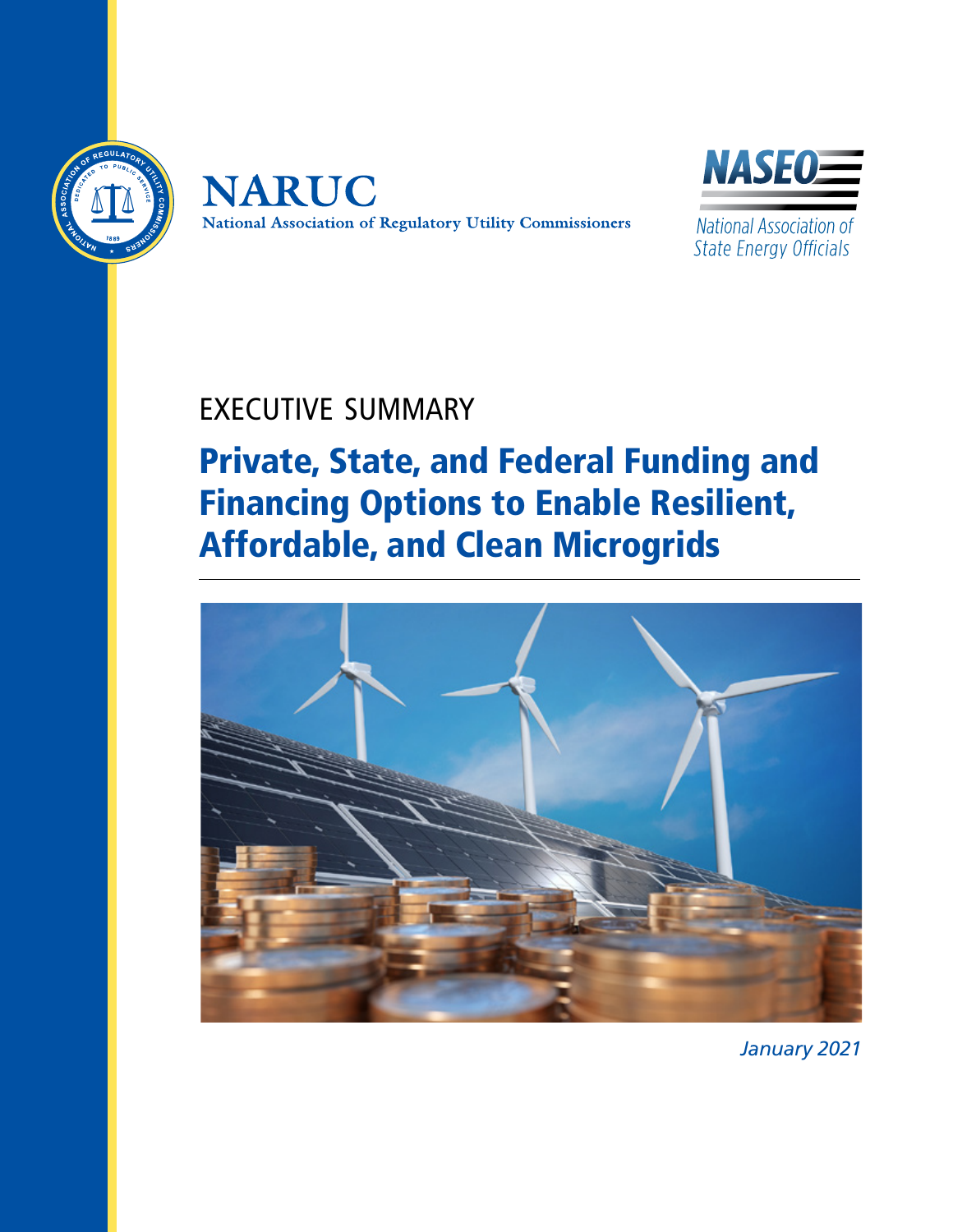





National Association of **State Energy Officials** 

## EXECUTIVE SUMMARY

## Private, State, and Federal Funding and Financing Options to Enable Resilient, Affordable, and Clean Microgrids



*January 2021*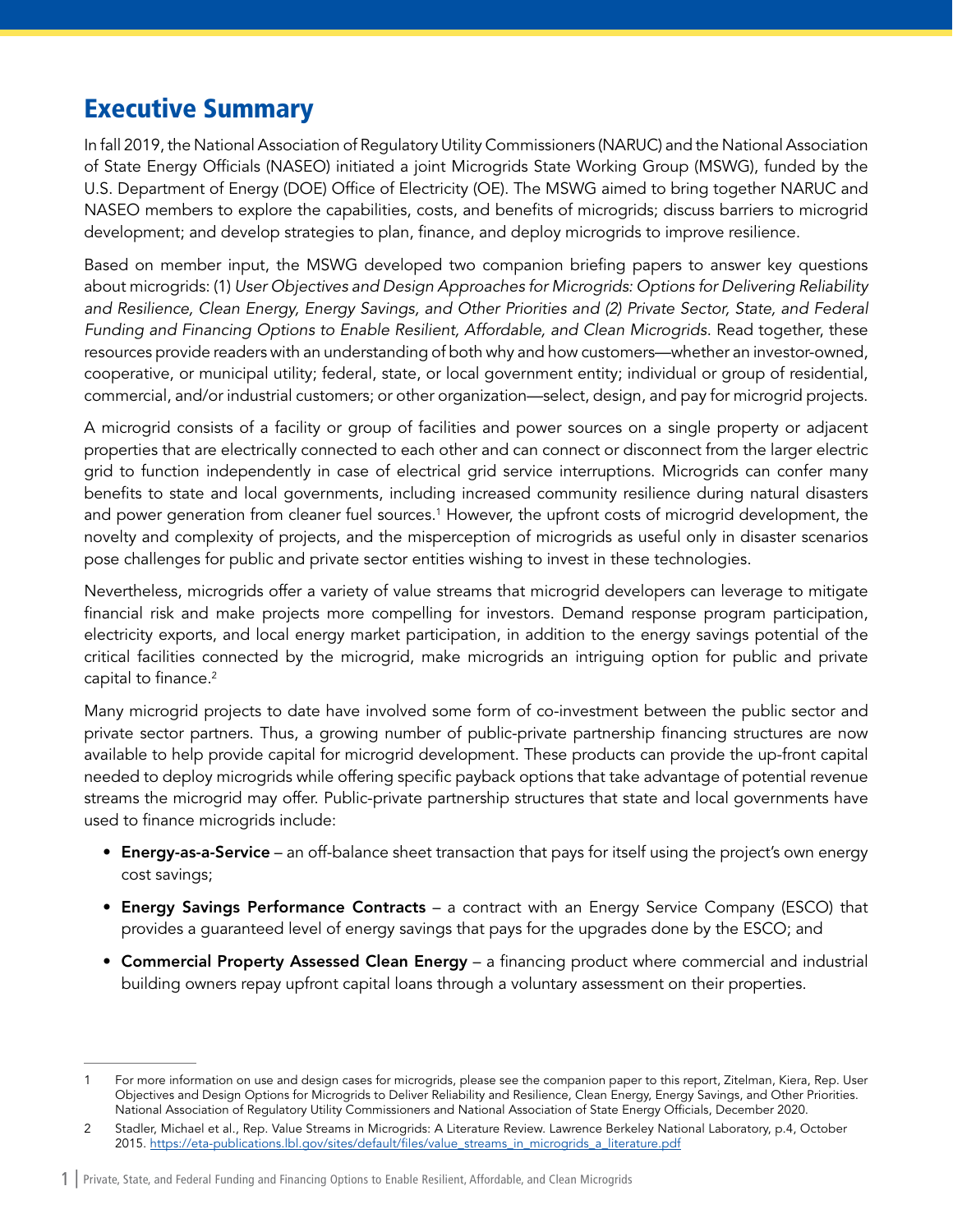## Executive Summary

In fall 2019, the National Association of Regulatory Utility Commissioners (NARUC) and the National Association of State Energy Officials (NASEO) initiated a joint Microgrids State Working Group (MSWG), funded by the U.S. Department of Energy (DOE) Office of Electricity (OE). The MSWG aimed to bring together NARUC and NASEO members to explore the capabilities, costs, and benefits of microgrids; discuss barriers to microgrid development; and develop strategies to plan, finance, and deploy microgrids to improve resilience.

Based on member input, the MSWG developed two companion briefing papers to answer key questions about microgrids: (1) *User Objectives and Design Approaches for Microgrids: Options for Delivering Reliability and Resilience, Clean Energy, Energy Savings, and Other Priorities and (2) Private Sector, State, and Federal Funding and Financing Options to Enable Resilient, Affordable, and Clean Microgrids*. Read together, these resources provide readers with an understanding of both why and how customers—whether an investor-owned, cooperative, or municipal utility; federal, state, or local government entity; individual or group of residential, commercial, and/or industrial customers; or other organization—select, design, and pay for microgrid projects.

A microgrid consists of a facility or group of facilities and power sources on a single property or adjacent properties that are electrically connected to each other and can connect or disconnect from the larger electric grid to function independently in case of electrical grid service interruptions. Microgrids can confer many benefits to state and local governments, including increased community resilience during natural disasters and power generation from cleaner fuel sources.<sup>1</sup> However, the upfront costs of microgrid development, the novelty and complexity of projects, and the misperception of microgrids as useful only in disaster scenarios pose challenges for public and private sector entities wishing to invest in these technologies.

Nevertheless, microgrids offer a variety of value streams that microgrid developers can leverage to mitigate financial risk and make projects more compelling for investors. Demand response program participation, electricity exports, and local energy market participation, in addition to the energy savings potential of the critical facilities connected by the microgrid, make microgrids an intriguing option for public and private capital to finance.<sup>2</sup>

Many microgrid projects to date have involved some form of co-investment between the public sector and private sector partners. Thus, a growing number of public-private partnership financing structures are now available to help provide capital for microgrid development. These products can provide the up-front capital needed to deploy microgrids while offering specific payback options that take advantage of potential revenue streams the microgrid may offer. Public-private partnership structures that state and local governments have used to finance microgrids include:

- Energy-as-a-Service an off-balance sheet transaction that pays for itself using the project's own energy cost savings;
- Energy Savings Performance Contracts a contract with an Energy Service Company (ESCO) that provides a guaranteed level of energy savings that pays for the upgrades done by the ESCO; and
- Commercial Property Assessed Clean Energy a financing product where commercial and industrial building owners repay upfront capital loans through a voluntary assessment on their properties.

For more information on use and design cases for microgrids, please see the companion paper to this report, Zitelman, Kiera, Rep. User Objectives and Design Options for Microgrids to Deliver Reliability and Resilience, Clean Energy, Energy Savings, and Other Priorities. National Association of Regulatory Utility Commissioners and National Association of State Energy Officials, December 2020.

<sup>2</sup> Stadler, Michael et al., Rep. Value Streams in Microgrids: A Literature Review. Lawrence Berkeley National Laboratory, p.4, October 2015. [https://eta-publications.lbl.gov/sites/default/files/value\\_streams\\_in\\_microgrids\\_a\\_literature.pdf](https://eta-publications.lbl.gov/sites/default/files/value_streams_in_microgrids_a_literature.pdf)

<sup>1</sup> | Private, State, and Federal Funding and Financing Options to Enable Resilient, Affordable, and Clean Microgrids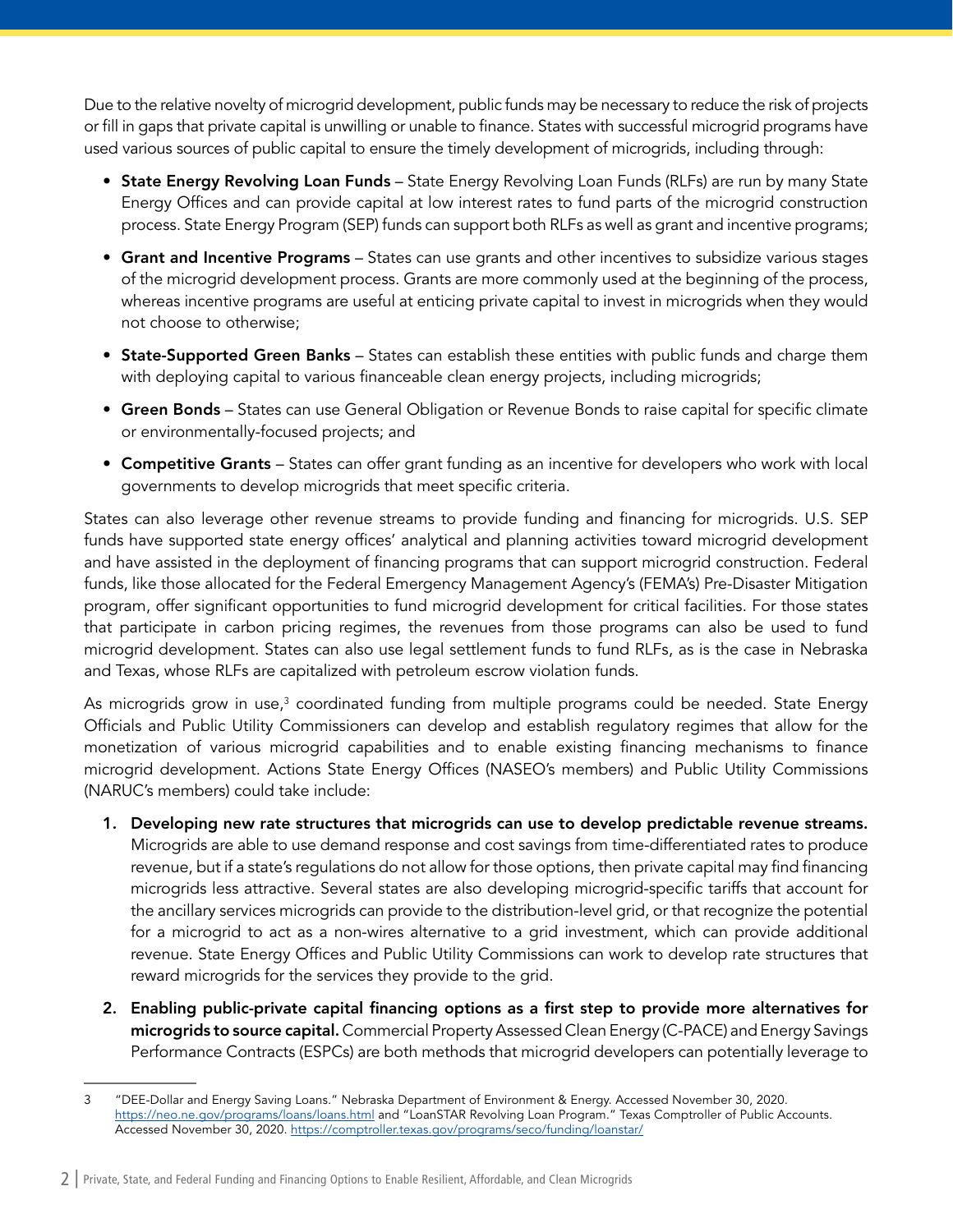Due to the relative novelty of microgrid development, public funds may be necessary to reduce the risk of projects or fill in gaps that private capital is unwilling or unable to finance. States with successful microgrid programs have used various sources of public capital to ensure the timely development of microgrids, including through:

- State Energy Revolving Loan Funds State Energy Revolving Loan Funds (RLFs) are run by many State Energy Offices and can provide capital at low interest rates to fund parts of the microgrid construction process. State Energy Program (SEP) funds can support both RLFs as well as grant and incentive programs;
- Grant and Incentive Programs States can use grants and other incentives to subsidize various stages of the microgrid development process. Grants are more commonly used at the beginning of the process, whereas incentive programs are useful at enticing private capital to invest in microgrids when they would not choose to otherwise;
- State-Supported Green Banks States can establish these entities with public funds and charge them with deploying capital to various financeable clean energy projects, including microgrids;
- Green Bonds States can use General Obligation or Revenue Bonds to raise capital for specific climate or environmentally-focused projects; and
- Competitive Grants States can offer grant funding as an incentive for developers who work with local governments to develop microgrids that meet specific criteria.

States can also leverage other revenue streams to provide funding and financing for microgrids. U.S. SEP funds have supported state energy offices' analytical and planning activities toward microgrid development and have assisted in the deployment of financing programs that can support microgrid construction. Federal funds, like those allocated for the Federal Emergency Management Agency's (FEMA's) Pre-Disaster Mitigation program, offer significant opportunities to fund microgrid development for critical facilities. For those states that participate in carbon pricing regimes, the revenues from those programs can also be used to fund microgrid development. States can also use legal settlement funds to fund RLFs, as is the case in Nebraska and Texas, whose RLFs are capitalized with petroleum escrow violation funds.

As microgrids grow in use, $^3$  coordinated funding from multiple programs could be needed. State Energy Officials and Public Utility Commissioners can develop and establish regulatory regimes that allow for the monetization of various microgrid capabilities and to enable existing financing mechanisms to finance microgrid development. Actions State Energy Offices (NASEO's members) and Public Utility Commissions (NARUC's members) could take include:

- 1. Developing new rate structures that microgrids can use to develop predictable revenue streams. Microgrids are able to use demand response and cost savings from time-differentiated rates to produce revenue, but if a state's regulations do not allow for those options, then private capital may find financing microgrids less attractive. Several states are also developing microgrid-specific tariffs that account for the ancillary services microgrids can provide to the distribution-level grid, or that recognize the potential for a microgrid to act as a non-wires alternative to a grid investment, which can provide additional revenue. State Energy Offices and Public Utility Commissions can work to develop rate structures that reward microgrids for the services they provide to the grid.
- 2. Enabling public-private capital financing options as a first step to provide more alternatives for microgrids to source capital. Commercial Property Assessed Clean Energy (C-PACE) and Energy Savings Performance Contracts (ESPCs) are both methods that microgrid developers can potentially leverage to

<sup>3</sup> "DEE-Dollar and Energy Saving Loans." Nebraska Department of Environment & Energy. Accessed November 30, 2020. <https://neo.ne.gov/programs/loans/loans.html>and "LoanSTAR Revolving Loan Program." Texas Comptroller of Public Accounts. Accessed November 30, 2020. <https://comptroller.texas.gov/programs/seco/funding/loanstar/>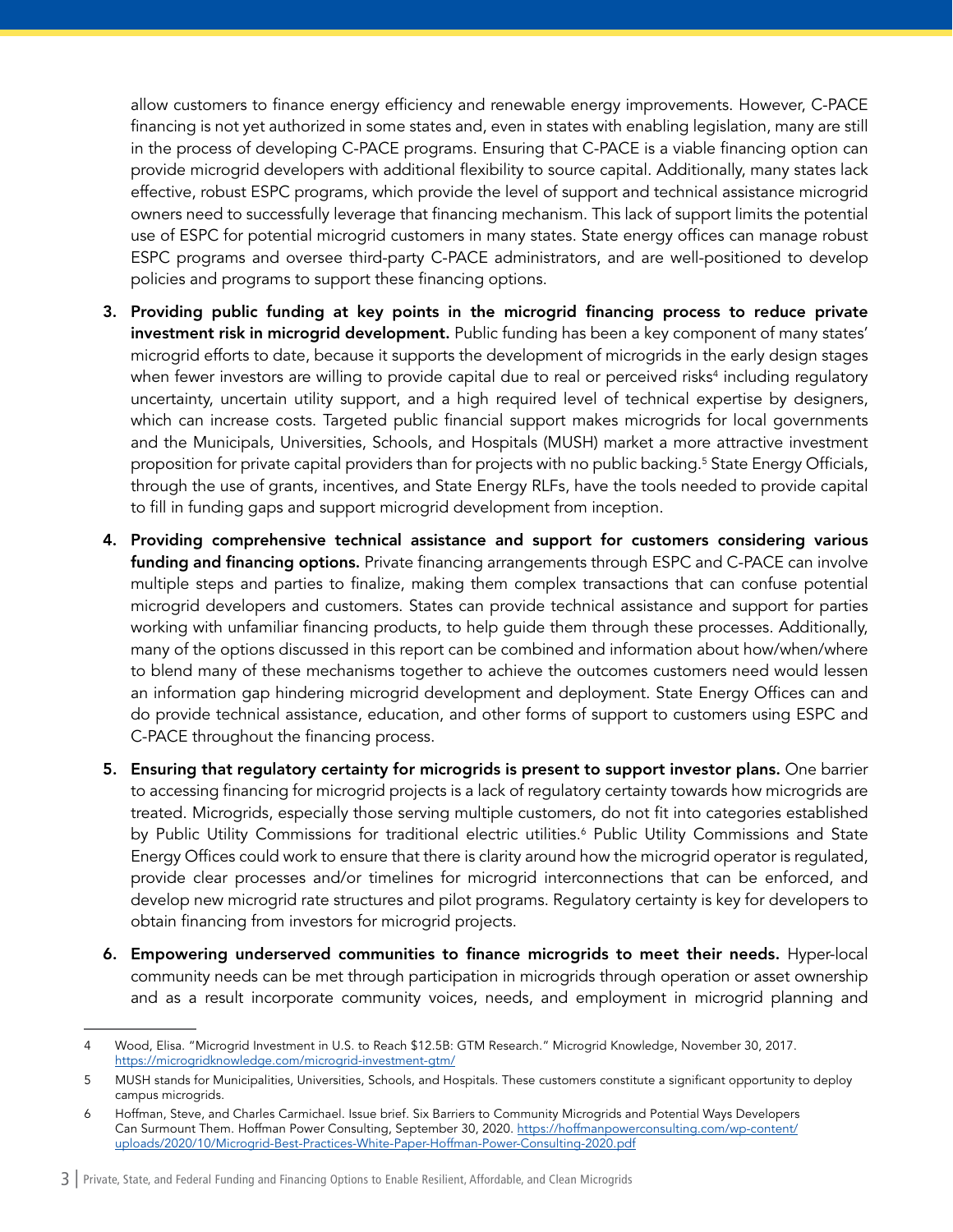allow customers to finance energy efficiency and renewable energy improvements. However, C-PACE financing is not yet authorized in some states and, even in states with enabling legislation, many are still in the process of developing C-PACE programs. Ensuring that C-PACE is a viable financing option can provide microgrid developers with additional flexibility to source capital. Additionally, many states lack effective, robust ESPC programs, which provide the level of support and technical assistance microgrid owners need to successfully leverage that financing mechanism. This lack of support limits the potential use of ESPC for potential microgrid customers in many states. State energy offices can manage robust ESPC programs and oversee third-party C-PACE administrators, and are well-positioned to develop policies and programs to support these financing options.

- 3. Providing public funding at key points in the microgrid financing process to reduce private investment risk in microgrid development. Public funding has been a key component of many states' microgrid efforts to date, because it supports the development of microgrids in the early design stages when fewer investors are willing to provide capital due to real or perceived risks $^4$  including regulatory uncertainty, uncertain utility support, and a high required level of technical expertise by designers, which can increase costs. Targeted public financial support makes microgrids for local governments and the Municipals, Universities, Schools, and Hospitals (MUSH) market a more attractive investment proposition for private capital providers than for projects with no public backing.5 State Energy Officials, through the use of grants, incentives, and State Energy RLFs, have the tools needed to provide capital to fill in funding gaps and support microgrid development from inception.
- 4. Providing comprehensive technical assistance and support for customers considering various funding and financing options. Private financing arrangements through ESPC and C-PACE can involve multiple steps and parties to finalize, making them complex transactions that can confuse potential microgrid developers and customers. States can provide technical assistance and support for parties working with unfamiliar financing products, to help guide them through these processes. Additionally, many of the options discussed in this report can be combined and information about how/when/where to blend many of these mechanisms together to achieve the outcomes customers need would lessen an information gap hindering microgrid development and deployment. State Energy Offices can and do provide technical assistance, education, and other forms of support to customers using ESPC and C-PACE throughout the financing process.
- 5. Ensuring that regulatory certainty for microgrids is present to support investor plans. One barrier to accessing financing for microgrid projects is a lack of regulatory certainty towards how microgrids are treated. Microgrids, especially those serving multiple customers, do not fit into categories established by Public Utility Commissions for traditional electric utilities.<sup>6</sup> Public Utility Commissions and State Energy Offices could work to ensure that there is clarity around how the microgrid operator is regulated, provide clear processes and/or timelines for microgrid interconnections that can be enforced, and develop new microgrid rate structures and pilot programs. Regulatory certainty is key for developers to obtain financing from investors for microgrid projects.
- 6. Empowering underserved communities to finance microgrids to meet their needs. Hyper-local community needs can be met through participation in microgrids through operation or asset ownership and as a result incorporate community voices, needs, and employment in microgrid planning and

<sup>4</sup> Wood, Elisa. "Microgrid Investment in U.S. to Reach \$12.5B: GTM Research." Microgrid Knowledge, November 30, 2017. <https://microgridknowledge.com/microgrid-investment-gtm/>

<sup>5</sup> MUSH stands for Municipalities, Universities, Schools, and Hospitals. These customers constitute a significant opportunity to deploy campus microgrids.

<sup>6</sup> Hoffman, Steve, and Charles Carmichael. Issue brief. Six Barriers to Community Microgrids and Potential Ways Developers Can Surmount Them. Hoffman Power Consulting, September 30, 2020. [https://hoffmanpowerconsulting.com/wp-content/](https://hoffmanpowerconsulting.com/wp-content/uploads/2020/10/Microgrid-Best-Practices-White-Paper-Hoffman-Power-Consulting-2020.pdf) [uploads/2020/10/Microgrid-Best-Practices-White-Paper-Hoffman-Power-Consulting-2020.pdf](https://hoffmanpowerconsulting.com/wp-content/uploads/2020/10/Microgrid-Best-Practices-White-Paper-Hoffman-Power-Consulting-2020.pdf)

<sup>3</sup> | Private, State, and Federal Funding and Financing Options to Enable Resilient, Affordable, and Clean Microgrids